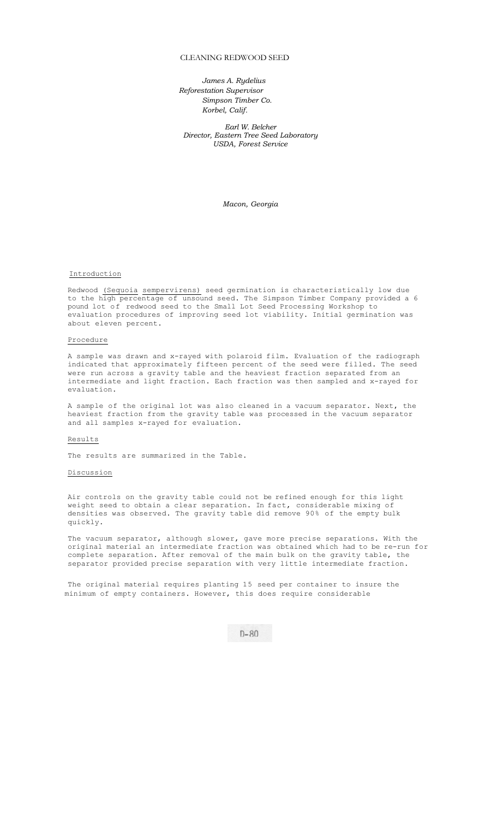# CLEANING REDWOOD SEED

*James A. Rydelius Reforestation Supervisor Simpson Timber Co. Korbel, Calif.* 

*Earl W. Belcher Director, Eastern Tree Seed Laboratory USDA, Forest Service* 

*Macon, Georgia* 

#### Introduction

Redwood (Sequoia sempervirens) seed germination is characteristically low due to the high percentage of unsound seed. The Simpson Timber Company provided a 6 pound lot of redwood seed to the Small Lot Seed Processing Workshop to evaluation procedures of improving seed lot viability. Initial germination was about eleven percent.

## Procedure

A sample was drawn and x-rayed with polaroid film. Evaluation of the radiograph indicated that approximately fifteen percent of the seed were filled. The seed were run across a gravity table and the heaviest fraction separated from an intermediate and light fraction. Each fraction was then sampled and x-rayed for evaluation.

A sample of the original lot was also cleaned in a vacuum separator. Next, the heaviest fraction from the gravity table was processed in the vacuum separator and all samples x-rayed for evaluation.

### Results

The results are summarized in the Table.

#### Discussion

Air controls on the gravity table could not be refined enough for this light weight seed to obtain a clear separation. In fact, considerable mixing of densities was observed. The gravity table did remove 90% of the empty bulk quickly.

The vacuum separator, although slower, gave more precise separations. With the original material an intermediate fraction was obtained which had to be re-run for complete separation. After removal of the main bulk on the gravity table, the separator provided precise separation with very little intermediate fraction.

The original material requires planting 15 seed per container to insure the minimum of empty containers. However, this does require considerable

 $D - 80$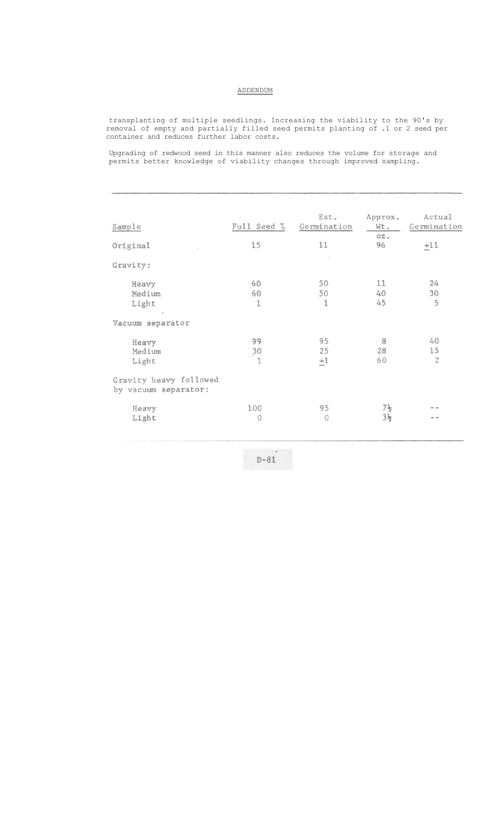## ADDENDUM

transplanting of multiple seedlings. Increasing the viability to the 90's by removal of empty and partially filled seed permits planting of .1 or 2 seed per container and reduces further labor costs.

Upgrading of redwood seed in this manner also reduces the volume for storage and permits better knowledge of viability changes through improved sampling.

|                                                |             | Est.        | Approx.        | Actual         |
|------------------------------------------------|-------------|-------------|----------------|----------------|
| Sample                                         | Full Seed % | Germination | Wt.<br>oz.     | Germination    |
| Original                                       | 15          | 11          | 96             | $+11$          |
| Gravity:                                       |             |             |                |                |
| Heavy                                          | 60          | 50          | 11             | 24             |
| Medium                                         | 60          | 50          | 40             | 30             |
| Light                                          | 1           | 1           | 45             | 5              |
| Vacuum separator                               |             |             |                |                |
| Heavy                                          | 99          | 95          | 8              | 40             |
| Medium                                         | 30          | 25          | 28             | 15             |
| Light                                          | 1           | $\pm 1$     | 60             | $\overline{2}$ |
| Gravity heavy followed<br>by vacuum separator: |             |             |                |                |
| Heavy                                          | 100         | 95          | 7}             |                |
| Light                                          | $\Omega$    | $\Omega$    | $3\frac{1}{2}$ | - -            |
|                                                |             |             |                |                |

 $D-81$